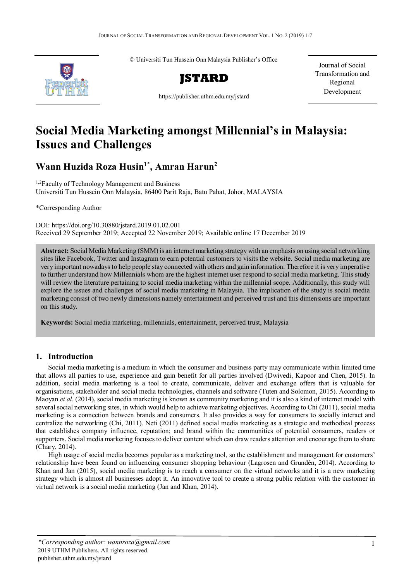© Universiti Tun Hussein Onn Malaysia Publisher's Office Journal of Social



Transformation and Regional Development

https://publisher.uthm.edu.my/jstard

# **Social Media Marketing amongst Millennial's in Malaysia: Issues and Challenges**

**Wann Huzida Roza Husin1\* , Amran Harun2**

<sup>1,2</sup>Faculty of Technology Management and Business Universiti Tun Hussein Onn Malaysia, 86400 Parit Raja, Batu Pahat, Johor, MALAYSIA

\*Corresponding Author

DOI: https://doi.org/10.30880/jstard.2019.01.02.001 Received 29 September 2019; Accepted 22 November 2019; Available online 17 December 2019

**Abstract:** Social Media Marketing (SMM) is an internet marketing strategy with an emphasis on using social networking sites like Facebook, Twitter and Instagram to earn potential customers to visits the website. Social media marketing are very important nowadays to help people stay connected with others and gain information. Therefore it is very imperative to further understand how Millennials whom are the highest internet user respond to social media marketing. This study will review the literature pertaining to social media marketing within the millennial scope. Additionally, this study will explore the issues and challenges of social media marketing in Malaysia. The implication of the study is social media marketing consist of two newly dimensions namely entertainment and perceived trust and this dimensions are important on this study.

**Keywords:** Social media marketing, millennials, entertainment, perceived trust, Malaysia

# **1. Introduction**

Social media marketing is a medium in which the consumer and business party may communicate within limited time that allows all parties to use, experience and gain benefit for all parties involved (Dwivedi, Kapoor and Chen, 2015). In addition, social media marketing is a tool to create, communicate, deliver and exchange offers that is valuable for organisations, stakeholder and social media technologies, channels and software (Tuten and Solomon, 2015). According to Maoyan *et al*. (2014), social media marketing is known as community marketing and it is also a kind of internet model with several social networking sites, in which would help to achieve marketing objectives. According to Chi (2011), social media marketing is a connection between brands and consumers. It also provides a way for consumers to socially interact and centralize the networking (Chi, 2011). Neti (2011) defined social media marketing as a strategic and methodical process that establishes company influence, reputation; and brand within the communities of potential consumers, readers or supporters. Social media marketing focuses to deliver content which can draw readers attention and encourage them to share (Chary, 2014).

High usage of social media becomes popular as a marketing tool, so the establishment and management for customers' relationship have been found on influencing consumer shopping behaviour (Lagrosen and Grundén, 2014). According to Khan and Jan (2015), social media marketing is to reach a consumer on the virtual networks and it is a new marketing strategy which is almost all businesses adopt it. An innovative tool to create a strong public relation with the customer in virtual network is a social media marketing (Jan and Khan, 2014).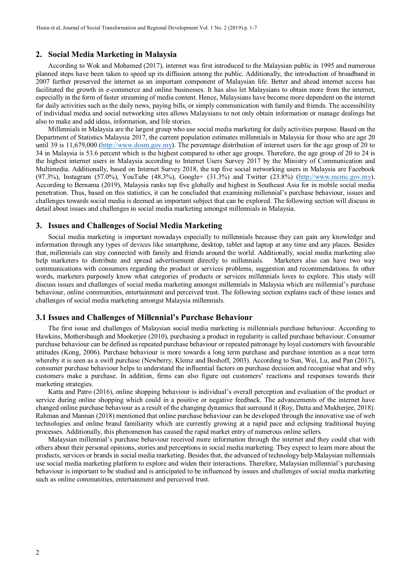#### **2. Social Media Marketing in Malaysia**

According to Wok and Mohamed (2017), internet was first introduced to the Malaysian public in 1995 and numerous planned steps have been taken to speed up its diffusion among the public. Additionally, the introduction of broadband in 2007 further preserved the internet as an important component of Malaysian life. Better and ahead internet access has facilitated the growth in e-commerce and online businesses. It has also let Malaysians to obtain more from the internet, especially in the form of faster streaming of media content. Hence, Malaysians have become more dependent on the internet for daily activities such as the daily news, paying bills, or simply communication with family and friends. The accessibility of individual media and social networking sites allows Malaysians to not only obtain information or manage dealings but also to make and add ideas, information, and life stories.

Millennials in Malaysia are the largest group who use social media marketing for daily activities purpose. Based on the Department of Statistics Malaysia 2017, the current population estimates millennials in Malaysia for those who are age 20 until 39 is 11,679,000 [\(http://www.dosm.gov.my\)](http://www.dosm.gov.my/). The percentage distribution of internet users for the age group of 20 to 34 in Malaysia is 53.6 percent which is the highest compared to other age groups. Therefore, the age group of 20 to 24 is the highest internet users in Malaysia according to Internet Users Survey 2017 by the Ministry of Communication and Multimedia. Additionally, based on Internet Survey 2018, the top five social networking users in Malaysia are Facebook (97.3%), Instagram (57.0%), YouTube (48.3%), Google+ (31.3%) and Twitter (23.8%) [\(http://www.mcmc.gov.my\)](http://www.mcmc.gov.my/). According to Bernama (2019), Malaysia ranks top five globally and highest in Southeast Asia for in mobile social media penetration. Thus, based on this statistics, it can be concluded that examining millennial's purchase behaviour, issues and challenges towards social media is deemed an important subject that can be explored. The following section will discuss in detail about issues and challenges in social media marketing amongst millennials in Malaysia.

#### **3. Issues and Challenges of Social Media Marketing**

Social media marketing is important nowadays especially to millennials because they can gain any knowledge and information through any types of devices like smartphone, desktop, tablet and laptop at any time and any places. Besides that, millennials can stay connected with family and friends around the world. Additionally, social media marketing also help marketers to distribute and spread advertisement directly to millennials. Marketers also can have two way communications with consumers regarding the product or services problems, suggestion and recommendations. In other words, marketers purposely know what categories of products or services millennials loves to explore. This study will discuss issues and challenges of social media marketing amongst millennials in Malaysia which are millennial's purchase behaviour, online communities, entertainment and perceived trust. The following section explains each of these issues and challenges of social media marketing amongst Malaysia millennials.

#### **3.1 Issues and Challenges of Millennial's Purchase Behaviour**

The first issue and challenges of Malaysian social media marketing is millennials purchase behaviour. According to Hawkins, Mothersbaugh and Mookerjee (2010), purchasing a product in regularity is called purchase behaviour. Consumer purchase behaviour can be defined as repeated purchase behaviour or repeated patronage by loyal customers with favourable attitudes (Kong, 2006). Purchase behaviour is more towards a long term purchase and purchase intention as a near term whereby it is seen as a swift purchase (Newberry, Klemz and Boshoff, 2003). According to Sun, Wei, Lu, and Pan (2017), consumer purchase behaviour helps to understand the influential factors on purchase decision and recognise what and why customers make a purchase. In addition, firms can also figure out customers' reactions and responses towards their marketing strategies.

Katta and Patro (2016), online shopping behaviour is individual's overall perception and evaluation of the product or service during online shopping which could in a positive or negative feedback. The advancements of the internet have changed online purchase behaviour as a result of the changing dynamics that surround it (Roy, Datta and Mukherjee, 2018). Rahman and Mannan (2018) mentioned that online purchase behaviour can be developed through the innovative use of web technologies and online brand familiarity which are currently growing at a rapid pace and eclipsing traditional buying processes. Additionally, this phenomenon has caused the rapid market entry of numerous online sellers.

Malaysian millennial's purchase behaviour received more information through the internet and they could chat with others about their personal opinions, stories and perceptions in social media marketing. They expect to learn more about the products, services or brands in social media marketing. Besides that, the advanced of technology help Malaysian millennials use social media marketing platform to explore and widen their interactions. Therefore, Malaysian millennial's purchasing behaviour is important to be studied and is anticipated to be influenced by issues and challenges of social media marketing such as online communities, entertainment and perceived trust.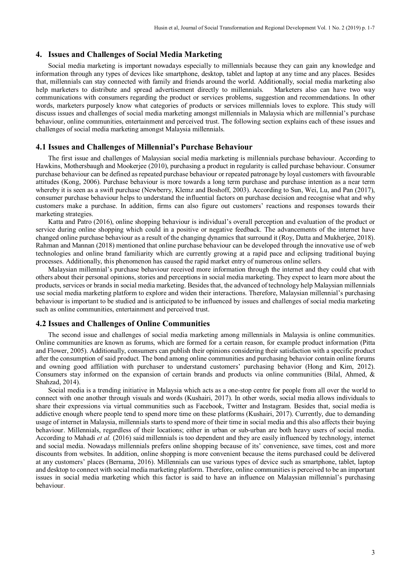### **4. Issues and Challenges of Social Media Marketing**

Social media marketing is important nowadays especially to millennials because they can gain any knowledge and information through any types of devices like smartphone, desktop, tablet and laptop at any time and any places. Besides that, millennials can stay connected with family and friends around the world. Additionally, social media marketing also help marketers to distribute and spread advertisement directly to millennials. Marketers also can have two way communications with consumers regarding the product or services problems, suggestion and recommendations. In other words, marketers purposely know what categories of products or services millennials loves to explore. This study will discuss issues and challenges of social media marketing amongst millennials in Malaysia which are millennial's purchase behaviour, online communities, entertainment and perceived trust. The following section explains each of these issues and challenges of social media marketing amongst Malaysia millennials.

#### **4.1 Issues and Challenges of Millennial's Purchase Behaviour**

The first issue and challenges of Malaysian social media marketing is millennials purchase behaviour. According to Hawkins, Mothersbaugh and Mookerjee (2010), purchasing a product in regularity is called purchase behaviour. Consumer purchase behaviour can be defined as repeated purchase behaviour or repeated patronage by loyal customers with favourable attitudes (Kong, 2006). Purchase behaviour is more towards a long term purchase and purchase intention as a near term whereby it is seen as a swift purchase (Newberry, Klemz and Boshoff, 2003). According to Sun, Wei, Lu, and Pan (2017), consumer purchase behaviour helps to understand the influential factors on purchase decision and recognise what and why customers make a purchase. In addition, firms can also figure out customers' reactions and responses towards their marketing strategies.

Katta and Patro (2016), online shopping behaviour is individual's overall perception and evaluation of the product or service during online shopping which could in a positive or negative feedback. The advancements of the internet have changed online purchase behaviour as a result of the changing dynamics that surround it (Roy, Datta and Mukherjee, 2018). Rahman and Mannan (2018) mentioned that online purchase behaviour can be developed through the innovative use of web technologies and online brand familiarity which are currently growing at a rapid pace and eclipsing traditional buying processes. Additionally, this phenomenon has caused the rapid market entry of numerous online sellers.

Malaysian millennial's purchase behaviour received more information through the internet and they could chat with others about their personal opinions, stories and perceptions in social media marketing. They expect to learn more about the products, services or brands in social media marketing. Besides that, the advanced of technology help Malaysian millennials use social media marketing platform to explore and widen their interactions. Therefore, Malaysian millennial's purchasing behaviour is important to be studied and is anticipated to be influenced by issues and challenges of social media marketing such as online communities, entertainment and perceived trust.

## **4.2 Issues and Challenges of Online Communities**

The second issue and challenges of social media marketing among millennials in Malaysia is online communities. Online communities are known as forums, which are formed for a certain reason, for example product information (Pitta and Flower, 2005). Additionally, consumers can publish their opinions considering their satisfaction with a specific product after the consumption of said product. The bond among online communities and purchasing behavior contain online forums and owning good affiliation with purchaser to understand customers' purchasing behavior (Hong and Kim, 2012). Consumers stay informed on the expansion of certain brands and products via online communities (Bilal, Ahmed, & Shahzad, 2014).

Social media is a trending initiative in Malaysia which acts as a one-stop centre for people from all over the world to connect with one another through visuals and words (Kushairi, 2017). In other words, social media allows individuals to share their expressions via virtual communities such as Facebook, Twitter and Instagram. Besides that, social media is addictive enough where people tend to spend more time on these platforms (Kushairi, 2017). Currently, due to demanding usage of internet in Malaysia, millennials starts to spend more of their time in social media and this also affects their buying behaviour. Millennials, regardless of their locations; either in urban or sub-urban are both heavy users of social media. According to Mahadi *et al.* (2016) said millennials is too dependent and they are easily influenced by technology, internet and social media. Nowadays millennials prefers online shopping because of its' convenience, save times, cost and more discounts from websites. In addition, online shopping is more convenient because the items purchased could be delivered at any customers' places (Bernama, 2016). Millennials can use various types of device such as smartphone, tablet, laptop and desktop to connect with social media marketing platform. Therefore, online communities is perceived to be an important issues in social media marketing which this factor is said to have an influence on Malaysian millennial's purchasing behaviour.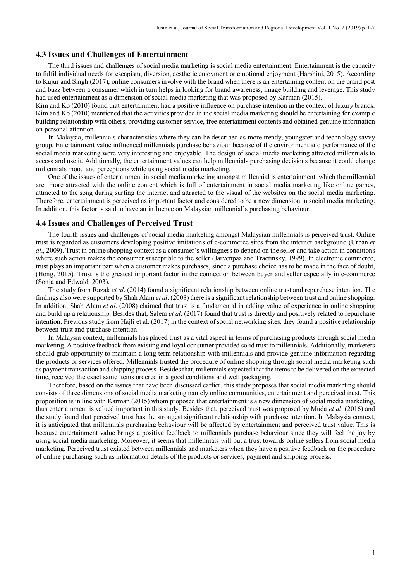#### **4.3 Issues and Challenges of Entertainment**

The third issues and challenges of social media marketing is social media entertainment. Entertainment is the capacity to fulfil individual needs for escapism, diversion, aesthetic enjoyment or emotional enjoyment (Harshini, 2015). According to Kujur and Singh (2017), online consumers involve with the brand when there is an entertaining content on the brand post and buzz between a consumer which in turn helps in looking for brand awareness, image building and leverage. This study had used entertainment as a dimension of social media marketing that was proposed by Karman (2015).

Kim and Ko (2010) found that entertainment had a positive influence on purchase intention in the context of luxury brands. Kim and Ko (2010) mentioned that the activities provided in the social media marketing should be entertaining for example building relationship with others, providing customer service, free entertainment contents and obtained genuine information on personal attention.

In Malaysia, millennials characteristics where they can be described as more trendy, youngster and technology savvy group. Entertainment value influenced millennials purchase behaviour because of the environment and performance of the social media marketing were very interesting and enjoyable. The design of social media marketing attracted millennials to access and use it. Additionally, the entertainment values can help millennials purchasing decisions because it could change millennials mood and perceptions while using social media marketing.

One of the issues of entertainment in social media marketing amongst millennial is entertainment which the millennial are more attracted with the online content which is full of entertainment in social media marketing like online games, attracted to the song during surfing the internet and attracted to the visual of the websites on the social media marketing. Therefore, entertainment is perceived as important factor and considered to be a new dimension in social media marketing. In addition, this factor is said to have an influence on Malaysian millennial's purchasing behaviour.

## **4.4 Issues and Challenges of Perceived Trust**

The fourth issues and challenges of social media marketing amongst Malaysian millennials is perceived trust. Online trust is regarded as customers developing positive imitations of e-commerce sites from the internet background (Urban *et al*., 2009). Trust in online shopping context as a consumer's willingness to depend on the seller and take action in conditions where such action makes the consumer susceptible to the seller (Jarvenpaa and Tractinsky, 1999). In electronic commerce, trust plays an important part when a customer makes purchases, since a purchase choice has to be made in the face of doubt, (Hong, 2015). Trust is the greatest important factor in the connection between buyer and seller especially in e-commerce (Sonja and Edwald, 2003).

The study from Razak *et al*. (2014) found a significant relationship between online trust and repurchase intention. The findings also were supported by Shah Alam *et al*. (2008) there is a significant relationship between trust and online shopping. In addition, Shah Alam *et al*. (2008) claimed that trust is a fundamental in adding value of experience in online shopping and build up a relationship. Besides that, Salem *et al*. (2017) found that trust is directly and positively related to repurchase intention. Previous study from Hajli et al. (2017) in the context of social networking sites, they found a positive relationship between trust and purchase intention.

In Malaysia context, millennials has placed trust as a vital aspect in terms of purchasing products through social media marketing. A positive feedback from existing and loyal consumer provided solid trust to millennials. Additionally, marketers should grab opportunity to maintain a long term relationship with millennials and provide genuine information regarding the products or services offered. Millennials trusted the procedure of online shopping through social media marketing such as payment transaction and shipping process. Besides that, millennials expected that the items to be delivered on the expected time, received the exact same items ordered in a good conditions and well packaging.

Therefore, based on the issues that have been discussed earlier, this study proposes that social media marketing should consists of three dimensions of social media marketing namely online communities, entertainment and perceived trust. This proposition is in line with Karman (2015) whom proposed that entertainment is a new dimension of social media marketing, thus entertainment is valued important in this study. Besides that, perceived trust was proposed by Muda *et al*. (2016) and the study found that perceived trust has the strongest significant relationship with purchase intention. In Malaysia context, it is anticipated that millennials purchasing behaviour will be affected by entertainment and perceived trust value. This is because entertainment value brings a positive feedback to millennials purchase behaviour since they will feel the joy by using social media marketing. Moreover, it seems that millennials will put a trust towards online sellers from social media marketing. Perceived trust existed between millennials and marketers when they have a positive feedback on the procedure of online purchasing such as information details of the products or services, payment and shipping process.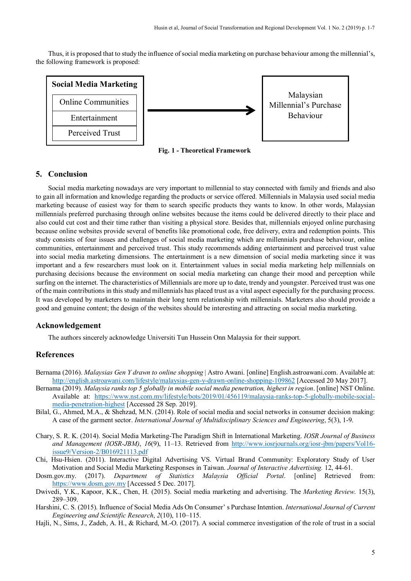Thus, it is proposed that to study the influence of social media marketing on purchase behaviour among the millennial's, the following framework is proposed:



**Fig. 1 - Theoretical Framework**

## **5. Conclusion**

Social media marketing nowadays are very important to millennial to stay connected with family and friends and also to gain all information and knowledge regarding the products or service offered. Millennials in Malaysia used social media marketing because of easiest way for them to search specific products they wants to know. In other words, Malaysian millennials preferred purchasing through online websites because the items could be delivered directly to their place and also could cut cost and their time rather than visiting a physical store. Besides that, millennials enjoyed online purchasing because online websites provide several of benefits like promotional code, free delivery, extra and redemption points. This study consists of four issues and challenges of social media marketing which are millennials purchase behaviour, online communities, entertainment and perceived trust. This study recommends adding entertainment and perceived trust value into social media marketing dimensions. The entertainment is a new dimension of social media marketing since it was important and a few researchers must look on it. Entertainment values in social media marketing help millennials on purchasing decisions because the environment on social media marketing can change their mood and perception while surfing on the internet. The characteristics of Millennials are more up to date, trendy and youngster. Perceived trust was one of the main contributions in this study and millennials has placed trust as a vital aspect especially for the purchasing process. It was developed by marketers to maintain their long term relationship with millennials. Marketers also should provide a good and genuine content; the design of the websites should be interesting and attracting on social media marketing.

## **Acknowledgement**

The authors sincerely acknowledge Universiti Tun Hussein Onn Malaysia for their support.

## **References**

- Bernama (2016). *Malaysias Gen Y drawn to online shopping* | Astro Awani. [online] English.astroawani.com. Available at: <http://english.astroawani.com/lifestyle/malaysias-gen-y-drawn-online-shopping-109862> [Accessed 20 May 2017].
- Bernama (2019). *Malaysia ranks top 5 globally in mobile social media penetration, highest in region*. [online] NST Online. Available at: [https://www.nst.com.my/lifestyle/bots/2019/01/456119/malaysia-ranks-top-5-globally-mobile-social](https://www.nst.com.my/lifestyle/bots/2019/01/456119/malaysia-ranks-top-5-globally-mobile-social-media-penetration-highest)[media-penetration-highest](https://www.nst.com.my/lifestyle/bots/2019/01/456119/malaysia-ranks-top-5-globally-mobile-social-media-penetration-highest) [Accessed 28 Sep. 2019].
- Bilal, G., Ahmed, M.A., & Shehzad, M.N. (2014). Role of social media and social networks in consumer decision making: A case of the garment sector. *International Journal of Multidisciplinary Sciences and Engineering*, 5(3), 1-9.
- Chary, S. R. K. (2014). Social Media Marketing-The Paradigm Shift in International Marketing. *IOSR Journal of Business and Management (IOSR-JBM)*, *16*(9), 11–13. Retrieved from [http://www.iosrjournals.org/iosr-jbm/papers/Vol16](http://www.iosrjournals.org/iosr-jbm/papers/Vol16-issue9/Version-2/B016921113.pdf) [issue9/Version-2/B016921113.pdf](http://www.iosrjournals.org/iosr-jbm/papers/Vol16-issue9/Version-2/B016921113.pdf)
- Chi, Hsu-Hsien. (2011). Interactive Digital Advertising VS. Virtual Brand Community: Exploratory Study of User Motivation and Social Media Marketing Responses in Taiwan. *Journal of Interactive Advertising.* 12, 44-61.
- Dosm.gov.my. (2017). *Department of Statistics Malaysia Official Portal*. [online] Retrieved from: [https://www.dosm.gov.my](https://www.dosm.gov.my/) [Accessed 5 Dec. 2017].
- Dwivedi, Y.K., Kapoor, K.K., Chen, H. (2015). Social media marketing and advertising. The *Marketing Review*. 15(3), 289–309.
- Harshini, C. S. (2015). Influence of Social Media Ads On Consumer' s Purchase Intention. *International Journal of Current Engineering and Scientific Research*, *2*(10), 110–115.
- Hajli, N., Sims, J., Zadeh, A. H., & Richard, M.-O. (2017). A social commerce investigation of the role of trust in a social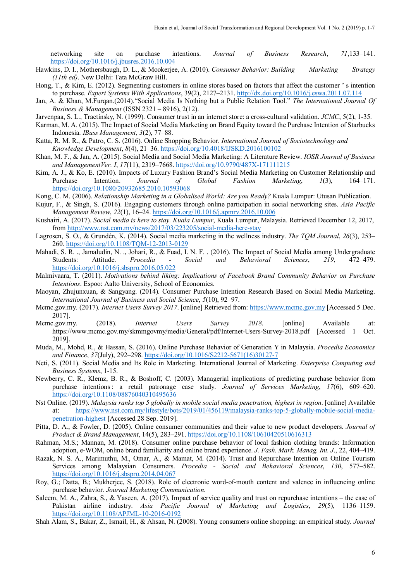networking site on purchase intentions. *Journal of Business Research*, *71*,133–141. <https://doi.org/10.1016/j.jbusres.2016.10.004>

- Hawkins, D. I., Mothersbaugh, D. L., & Mookerjee, A. (2010). *Consumer Behavior: Building Marketing Strategy (11th ed)*. New Delhi: Tata McGraw Hill.
- Hong, T., & Kim, E. (2012). Segmenting customers in online stores based on factors that affect the customer ' s intention to purchase. *Expert Systems With Applications*, 39(2), 2127–2131[. http://dx.doi.org/10.1016/j.eswa.2011.07.114](http://dx.doi.org/10.1016/j.eswa.2011.07.114)
- Jan, A. & Khan, M.Furqan.(2014)."Social Media Is Nothing but a Public Relation Tool." *The International Journal Of Business & Management* (ISSN 2321 – 8916), 2(12).
- Jarvenpaa, S. L., Tractinsky, N. (1999). Consumer trust in an internet store: a cross-cultural validation. *JCMC*, 5(2), 1-35.
- Karman, M. A. (2015). The Impact of Social Media Marketing on Brand Equity toward the Purchase Intention of Starbucks Indonesia. *IBuss Management*, *3*(2), 77–88.
- Katta, R. M. R., & Patro, C. S. (2016). Online Shopping Behavior. *International Journal of Sociotechnology and Knowledge Development*, *8*(4), 21–36.<https://doi.org/10.4018/IJSKD.2016100102>
- Khan, M. F., & Jan, A. (2015). Social Media and Social Media Marketing: A Literature Review. *IOSR Journal of Business and ManagementVer. I*, *17*(11), 2319–7668.<https://doi.org/10.9790/487X-171111215>
- Kim, A. J., & Ko, E. (2010). Impacts of Luxury Fashion Brand's Social Media Marketing on Customer Relationship and Purchase Intention. *Journal of Global Fashion Marketing*, *1*(3), 164–171. <https://doi.org/10.1080/20932685.2010.10593068>
- Kong, C. M. (2006). *Relationship Marketing in a Globalised World: Are you Ready?* Kuala Lumpur: Utusan Publication.
- Kujur, F., & Singh, S. (2016). Engaging customers through online participation in social networking sites. *Asia Pacific Management Review*, *22*(1), 16–24.<https://doi.org/10.1016/j.apmrv.2016.10.006>
- Kushairi, A. (2017). *Social media is here to stay. Kuala Lumpur*, Kuala Lumpur, Malaysia. Retrieved December 12, 2017, from<http://www.nst.com.my/news/2017/03/223205/social-media-here-stay>
- Lagrosen, S. O., & Grundén, K. (2014). Social media marketing in the wellness industry. *The TQM Journal*, *26*(3), 253– 260.<https://doi.org/10.1108/TQM-12-2013-0129>
- Mahadi, S. R. ., Jamaludin, N. ., Johari, R., & Fuad, I. N. F. . (2016). The Impact of Social Media among Undergraduate Students: Attitude. *Procedia - Social and Behavioral Sciences*, *219*, 472–479. <https://doi.org/10.1016/j.sbspro.2016.05.022>
- Malmivaara, T. (2011). *Motivations behind liking: Implications of Facebook Brand Community Behavior on Purchase Intentions*. Espoo: Aalto University, School of Economics.
- Maoyan, Zhujunxuan, & Sangyang. (2014). Consumer Purchase Intention Research Based on Social Media Marketing. *International Journal of Business and Social Science*, *5*(10), 92–97.
- Mcmc.gov.my. (2017). *Internet Users Survey 2017*. [online] Retrieved from: [https://www.mcmc.gov.my](https://www.mcmc.gov.my/) [Accessed 5 Dec. 2017].
- Mcmc.gov.my. (2018). *Internet Users Survey 2018*. [online] Available at: https://www.mcmc.gov.my/skmmgovmy/media/General/pdf/Internet-Users-Survey-2018.pdf [Accessed 1 Oct. 2019].
- Muda, M., Mohd, R., & Hassan, S. (2016). Online Purchase Behavior of Generation Y in Malaysia. *Procedia Economics and Finance*, *37*(July), 292–298. [https://doi.org/10.1016/S2212-5671\(16\)30127-7](https://doi.org/10.1016/S2212-5671(16)30127-7)
- Neti, S. (2011). Social Media and Its Role in Marketing. International Journal of Marketing. *Enterprise Computing and Business Systems*, 1-15.
- Newberry, C. R., Klemz, B. R., & Boshoff, C. (2003). Managerial implications of predicting purchase behavior from purchase intentions : a retail patronage case study. *Journal of Services Marketing*, *17*(6), 609–620. <https://doi.org/10.1108/08876040310495636>
- Nst Online. (2019). *Malaysia ranks top 5 globally in mobile social media penetration, highest in region*. [online] Available at: [https://www.nst.com.my/lifestyle/bots/2019/01/456119/malaysia-ranks-top-5-globally-mobile-social-media](https://www.nst.com.my/lifestyle/bots/2019/01/456119/malaysia-ranks-top-5-globally-mobile-social-media-penetration-highest)[penetration-highest](https://www.nst.com.my/lifestyle/bots/2019/01/456119/malaysia-ranks-top-5-globally-mobile-social-media-penetration-highest) [Accessed 28 Sep. 2019].
- Pitta, D. A., & Fowler, D. (2005). Online consumer communities and their value to new product developers. *Journal of Product & Brand Management*, 14(5), 283–291.<https://doi.org/10.1108/10610420510616313>
- Rahman, M.S.; Mannan, M. (2018). Consumer online purchase behavior of local fashion clothing brands: Information adoption, e-WOM, online brand familiarity and online brand experience. *J. Fash. Mark. Manag. Int. J*., 22, 404–419.
- Razak, N. S. A., Marimuthu, M., Omar, A., & Mamat, M. (2014). Trust and Repurchase Intention on Online Tourism Services among Malaysian Consumers. *Procedia - Social and Behavioral Sciences*, *130*, 577–582. <https://doi.org/10.1016/j.sbspro.2014.04.067>
- Roy, G.; Datta, B.; Mukherjee, S. (2018). Role of electronic word-of-mouth content and valence in influencing online purchase behavior. *Journal Marketing Communication.*
- Saleem, M. A., Zahra, S., & Yaseen, A. (2017). Impact of service quality and trust on repurchase intentions the case of Pakistan airline industry. *Asia Pacific Journal of Marketing and Logistics*, *29*(5), 1136–1159. <https://doi.org/10.1108/APJML-10-2016-0192>
- Shah Alam, S., Bakar, Z., Ismail, H., & Ahsan, N. (2008). Young consumers online shopping: an empirical study. *Journal*